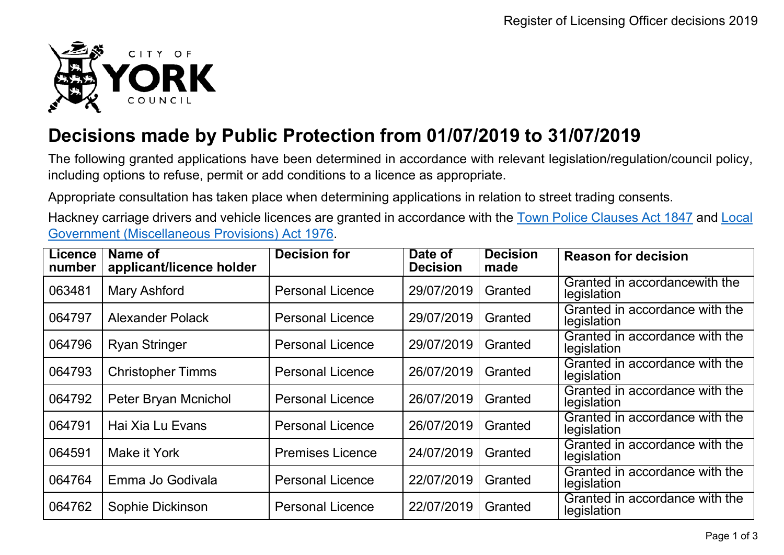

## **Decisions made by Public Protection from 01/07/2019 to 31/07/2019**

The following granted applications have been determined in accordance with relevant legislation/regulation/council policy, including options to refuse, permit or add conditions to a licence as appropriate.

Appropriate consultation has taken place when determining applications in relation to street trading consents.

Hackney carriage drivers and vehicle licences are granted in accordance with the Town Police [Clauses](http://www.legislation.gov.uk/ukpga/Vict/10-11/89) Act 1847 and [Local](http://www.legislation.gov.uk/ukpga/1976/57) [Government \(Miscellaneous Provisions\) Act 1976.](http://www.legislation.gov.uk/ukpga/1976/57)

| <b>Licence</b><br>number | Name of<br>applicant/licence holder | <b>Decision for</b>     | Date of<br><b>Decision</b> | <b>Decision</b><br>made | <b>Reason for decision</b>                    |
|--------------------------|-------------------------------------|-------------------------|----------------------------|-------------------------|-----------------------------------------------|
| 063481                   | <b>Mary Ashford</b>                 | <b>Personal Licence</b> | 29/07/2019                 | Granted                 | Granted in accordancewith the<br>legislation  |
| 064797                   | Alexander Polack                    | <b>Personal Licence</b> | 29/07/2019                 | Granted                 | Granted in accordance with the<br>legislation |
| 064796                   | <b>Ryan Stringer</b>                | <b>Personal Licence</b> | 29/07/2019                 | Granted                 | Granted in accordance with the<br>legislation |
| 064793                   | <b>Christopher Timms</b>            | <b>Personal Licence</b> | 26/07/2019                 | Granted                 | Granted in accordance with the<br>legislation |
| 064792                   | Peter Bryan Mcnichol                | <b>Personal Licence</b> | 26/07/2019                 | Granted                 | Granted in accordance with the<br>legislation |
| 064791                   | Hai Xia Lu Evans                    | <b>Personal Licence</b> | 26/07/2019                 | Granted                 | Granted in accordance with the<br>legislation |
| 064591                   | Make it York                        | <b>Premises Licence</b> | 24/07/2019                 | Granted                 | Granted in accordance with the<br>legislation |
| 064764                   | Emma Jo Godivala                    | <b>Personal Licence</b> | 22/07/2019                 | Granted                 | Granted in accordance with the<br>legislation |
| 064762                   | Sophie Dickinson                    | <b>Personal Licence</b> | 22/07/2019                 | Granted                 | Granted in accordance with the<br>legislation |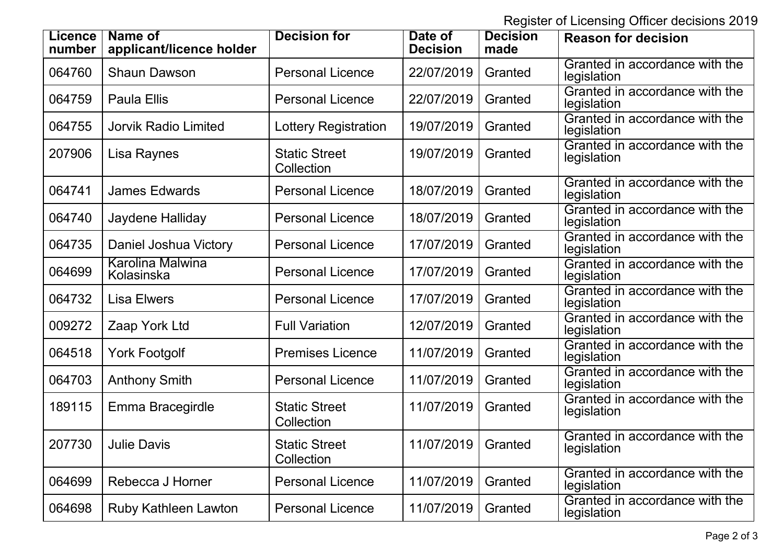Register of Licensing Officer decisions 2019

| Licence<br>number | Name of<br>applicant/licence holder | <b>Decision for</b>                | Date of<br><b>Decision</b> | <b>Decision</b><br>made | <b>Reason for decision</b>                    |
|-------------------|-------------------------------------|------------------------------------|----------------------------|-------------------------|-----------------------------------------------|
| 064760            | <b>Shaun Dawson</b>                 | <b>Personal Licence</b>            | 22/07/2019                 | Granted                 | Granted in accordance with the<br>legislation |
| 064759            | <b>Paula Ellis</b>                  | <b>Personal Licence</b>            | 22/07/2019                 | Granted                 | Granted in accordance with the<br>legislation |
| 064755            | <b>Jorvik Radio Limited</b>         | Lottery Registration               | 19/07/2019                 | Granted                 | Granted in accordance with the<br>legislation |
| 207906            | Lisa Raynes                         | <b>Static Street</b><br>Collection | 19/07/2019                 | Granted                 | Granted in accordance with the<br>legislation |
| 064741            | <b>James Edwards</b>                | <b>Personal Licence</b>            | 18/07/2019                 | Granted                 | Granted in accordance with the<br>legislation |
| 064740            | Jaydene Halliday                    | <b>Personal Licence</b>            | 18/07/2019                 | Granted                 | Granted in accordance with the<br>legislation |
| 064735            | Daniel Joshua Victory               | <b>Personal Licence</b>            | 17/07/2019                 | Granted                 | Granted in accordance with the<br>legislation |
| 064699            | Karolina Malwina<br>Kolasinska      | <b>Personal Licence</b>            | 17/07/2019                 | Granted                 | Granted in accordance with the<br>legislation |
| 064732            | <b>Lisa Elwers</b>                  | <b>Personal Licence</b>            | 17/07/2019                 | Granted                 | Granted in accordance with the<br>legislation |
| 009272            | Zaap York Ltd                       | <b>Full Variation</b>              | 12/07/2019                 | Granted                 | Granted in accordance with the<br>legislation |
| 064518            | <b>York Footgolf</b>                | <b>Premises Licence</b>            | 11/07/2019                 | Granted                 | Granted in accordance with the<br>legislation |
| 064703            | <b>Anthony Smith</b>                | <b>Personal Licence</b>            | 11/07/2019                 | Granted                 | Granted in accordance with the<br>legislation |
| 189115            | Emma Bracegirdle                    | <b>Static Street</b><br>Collection | 11/07/2019                 | Granted                 | Granted in accordance with the<br>legislation |
| 207730            | Julie Davis                         | <b>Static Street</b><br>Collection | 11/07/2019                 | Granted                 | Granted in accordance with the<br>legislation |
| 064699            | Rebecca J Horner                    | <b>Personal Licence</b>            | 11/07/2019                 | Granted                 | Granted in accordance with the<br>legislation |
| 064698            | Ruby Kathleen Lawton                | <b>Personal Licence</b>            | 11/07/2019                 | Granted                 | Granted in accordance with the<br>legislation |